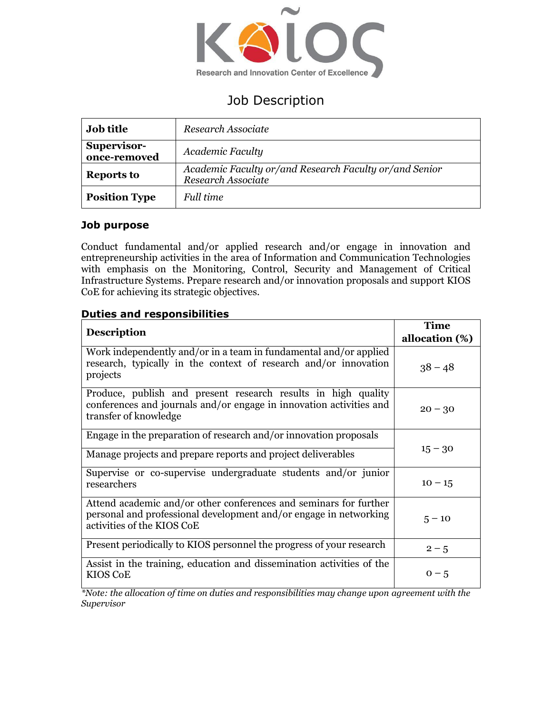

# Job Description

| <b>Job title</b>            | Research Associate                                                           |
|-----------------------------|------------------------------------------------------------------------------|
| Supervisor-<br>once-removed | Academic Faculty                                                             |
| <b>Reports to</b>           | Academic Faculty or/and Research Faculty or/and Senior<br>Research Associate |
| <b>Position Type</b>        | Full time                                                                    |

# **Job purpose**

Conduct fundamental and/or applied research and/or engage in innovation and entrepreneurship activities in the area of Information and Communication Technologies with emphasis on the Monitoring, Control, Security and Management of Critical Infrastructure Systems. Prepare research and/or innovation proposals and support KIOS CoE for achieving its strategic objectives.

# **Duties and responsibilities**

|                                                                                                                                                                      | Time           |
|----------------------------------------------------------------------------------------------------------------------------------------------------------------------|----------------|
| <b>Description</b>                                                                                                                                                   | allocation (%) |
| Work independently and/or in a team in fundamental and/or applied<br>research, typically in the context of research and/or innovation<br>projects                    | $38 - 48$      |
| Produce, publish and present research results in high quality<br>conferences and journals and/or engage in innovation activities and<br>transfer of knowledge        | $20 - 30$      |
| Engage in the preparation of research and/or innovation proposals                                                                                                    |                |
| Manage projects and prepare reports and project deliverables                                                                                                         | $15 - 30$      |
| Supervise or co-supervise undergraduate students and/or junior<br>researchers                                                                                        | $10 - 15$      |
| Attend academic and/or other conferences and seminars for further<br>personal and professional development and/or engage in networking<br>activities of the KIOS CoE | $5 - 10$       |
| Present periodically to KIOS personnel the progress of your research                                                                                                 | $2 - 5$        |
| Assist in the training, education and dissemination activities of the<br><b>KIOS CoE</b>                                                                             | $0 - 5$        |

*\*Note: the allocation of time on duties and responsibilities may change upon agreement with the Supervisor*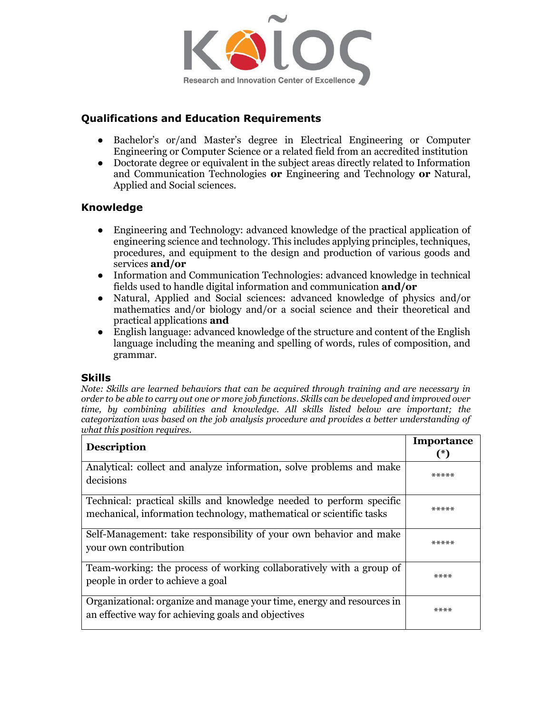

# **Qualifications and Education Requirements**

- Bachelor's or/and Master's degree in Electrical Engineering or Computer Engineering or Computer Science or a related field from an accredited institution
- Doctorate degree or equivalent in the subject areas directly related to Information and Communication Technologies **or** Engineering and Technology **or** Natural, Applied and Social sciences.

#### **Knowledge**

- Engineering and Technology: advanced knowledge of the practical application of engineering science and technology. This includes applying principles, techniques, procedures, and equipment to the design and production of various goods and services **and/or**
- Information and Communication Technologies: advanced knowledge in technical fields used to handle digital information and communication **and/or**
- Natural, Applied and Social sciences: advanced knowledge of physics and/or mathematics and/or biology and/or a social science and their theoretical and practical applications **and**
- English language: advanced knowledge of the structure and content of the English language including the meaning and spelling of words, rules of composition, and grammar.

#### **Skills**

*Note: Skills are learned behaviors that can be acquired through training and are necessary in order to be able to carry out one or more job functions. Skills can be developed and improved over time, by combining abilities and knowledge. All skills listed below are important; the categorization was based on the job analysis procedure and provides a better understanding of what this position requires.*

|                                                                                                                                              | Importance |
|----------------------------------------------------------------------------------------------------------------------------------------------|------------|
| <b>Description</b>                                                                                                                           | (*)        |
| Analytical: collect and analyze information, solve problems and make<br>decisions                                                            | *****      |
| Technical: practical skills and knowledge needed to perform specific<br>mechanical, information technology, mathematical or scientific tasks | *****      |
| Self-Management: take responsibility of your own behavior and make<br>your own contribution                                                  | *****      |
| Team-working: the process of working collaboratively with a group of<br>people in order to achieve a goal                                    | ****       |
| Organizational: organize and manage your time, energy and resources in<br>an effective way for achieving goals and objectives                | ****       |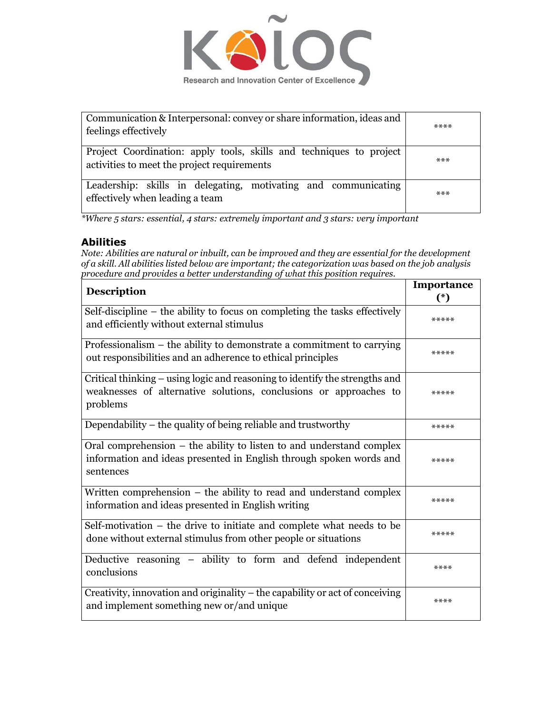

| Communication & Interpersonal: convey or share information, ideas and<br>feelings effectively                      | $****$ |
|--------------------------------------------------------------------------------------------------------------------|--------|
| Project Coordination: apply tools, skills and techniques to project<br>activities to meet the project requirements | ***    |
| Leadership: skills in delegating, motivating and communicating<br>effectively when leading a team                  | $***$  |

*\*Where 5 stars: essential, 4 stars: extremely important and 3 stars: very important*

#### **Abilities**

*Note: Abilities are natural or inbuilt, can be improved and they are essential for the development of a skill. All abilities listed below are important; the categorization was based on the job analysis procedure and provides a better understanding of what this position requires.*

| <b>Description</b>                                                                                                                                           | Importance<br>$(*)$ |
|--------------------------------------------------------------------------------------------------------------------------------------------------------------|---------------------|
| Self-discipline - the ability to focus on completing the tasks effectively<br>and efficiently without external stimulus                                      | *****               |
| Professionalism $-$ the ability to demonstrate a commitment to carrying<br>out responsibilities and an adherence to ethical principles                       | *****               |
| Critical thinking – using logic and reasoning to identify the strengths and<br>weaknesses of alternative solutions, conclusions or approaches to<br>problems | *****               |
| Dependability – the quality of being reliable and trustworthy                                                                                                | *****               |
| Oral comprehension – the ability to listen to and understand complex<br>information and ideas presented in English through spoken words and<br>sentences     | *****               |
| Written comprehension – the ability to read and understand complex<br>information and ideas presented in English writing                                     | *****               |
| Self-motivation - the drive to initiate and complete what needs to be<br>done without external stimulus from other people or situations                      | *****               |
| Deductive reasoning - ability to form and defend independent<br>conclusions                                                                                  | ****                |
| Creativity, innovation and originality – the capability or act of conceiving<br>and implement something new or/and unique                                    | ****                |